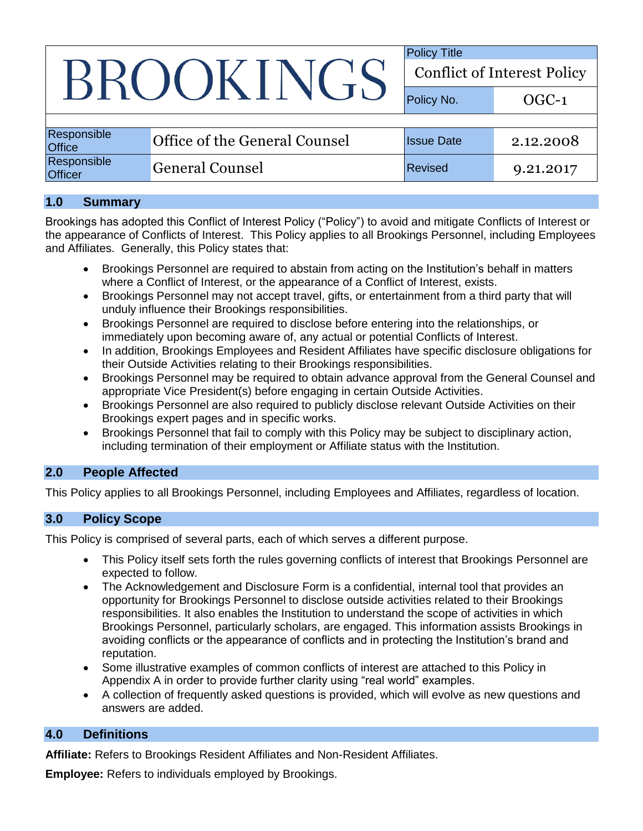# BROOKINGS

Policy Title Conflict of Interest Policy

Policy No. 69 OGC-1 Responsible Responsible **Office of the General Counsel** Issue Date 2.12.2008 Responsible Nespulsible General Counsel Revised 9.21.2017

## **1.0 Summary**

Brookings has adopted this Conflict of Interest Policy ("Policy") to avoid and mitigate Conflicts of Interest or the appearance of Conflicts of Interest. This Policy applies to all Brookings Personnel, including Employees and Affiliates. Generally, this Policy states that:

- Brookings Personnel are required to abstain from acting on the Institution's behalf in matters where a Conflict of Interest, or the appearance of a Conflict of Interest, exists.
- Brookings Personnel may not accept travel, gifts, or entertainment from a third party that will unduly influence their Brookings responsibilities.
- Brookings Personnel are required to disclose before entering into the relationships, or immediately upon becoming aware of, any actual or potential Conflicts of Interest.
- In addition, Brookings Employees and Resident Affiliates have specific disclosure obligations for their Outside Activities relating to their Brookings responsibilities.
- Brookings Personnel may be required to obtain advance approval from the General Counsel and appropriate Vice President(s) before engaging in certain Outside Activities.
- Brookings Personnel are also required to publicly disclose relevant Outside Activities on their Brookings expert pages and in specific works.
- Brookings Personnel that fail to comply with this Policy may be subject to disciplinary action, including termination of their employment or Affiliate status with the Institution.

# **2.0 People Affected**

This Policy applies to all Brookings Personnel, including Employees and Affiliates, regardless of location.

### **3.0 Policy Scope**

This Policy is comprised of several parts, each of which serves a different purpose.

- This Policy itself sets forth the rules governing conflicts of interest that Brookings Personnel are expected to follow.
- The Acknowledgement and Disclosure Form is a confidential, internal tool that provides an opportunity for Brookings Personnel to disclose outside activities related to their Brookings responsibilities. It also enables the Institution to understand the scope of activities in which Brookings Personnel, particularly scholars, are engaged. This information assists Brookings in avoiding conflicts or the appearance of conflicts and in protecting the Institution's brand and reputation.
- Some illustrative examples of common conflicts of interest are attached to this Policy in [Appendix A](#page-7-0) in order to provide further clarity using "real world" examples.
- A collection of frequently asked questions is provided, which will evolve as new questions and answers are added.

# **4.0 Definitions**

**Affiliate:** Refers to Brookings Resident Affiliates and Non-Resident Affiliates.

**Employee:** Refers to individuals employed by Brookings.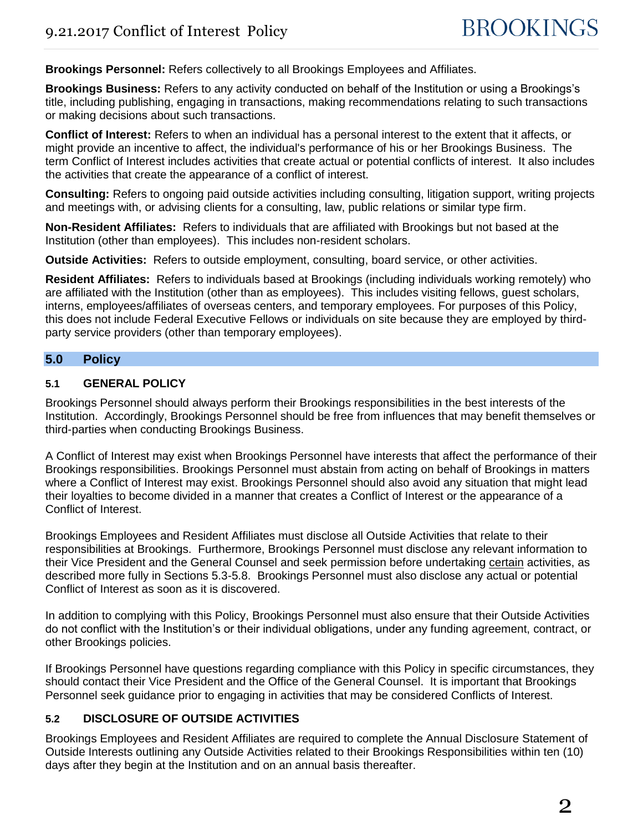**Brookings Personnel:** Refers collectively to all Brookings Employees and Affiliates.

**Brookings Business:** Refers to any activity conducted on behalf of the Institution or using a Brookings's title, including publishing, engaging in transactions, making recommendations relating to such transactions or making decisions about such transactions.

**Conflict of Interest:** Refers to when an individual has a personal interest to the extent that it affects, or might provide an incentive to affect, the individual's performance of his or her Brookings Business. The term Conflict of Interest includes activities that create actual or potential conflicts of interest. It also includes the activities that create the appearance of a conflict of interest.

**Consulting:** Refers to ongoing paid outside activities including consulting, litigation support, writing projects and meetings with, or advising clients for a consulting, law, public relations or similar type firm.

**Non-Resident Affiliates:** Refers to individuals that are affiliated with Brookings but not based at the Institution (other than employees). This includes non-resident scholars.

**Outside Activities:** Refers to outside employment, consulting, board service, or other activities.

**Resident Affiliates:** Refers to individuals based at Brookings (including individuals working remotely) who are affiliated with the Institution (other than as employees). This includes visiting fellows, guest scholars, interns, employees/affiliates of overseas centers, and temporary employees. For purposes of this Policy, this does not include Federal Executive Fellows or individuals on site because they are employed by thirdparty service providers (other than temporary employees).

### **5.0 Policy**

### **5.1 GENERAL POLICY**

Brookings Personnel should always perform their Brookings responsibilities in the best interests of the Institution. Accordingly, Brookings Personnel should be free from influences that may benefit themselves or third-parties when conducting Brookings Business.

A Conflict of Interest may exist when Brookings Personnel have interests that affect the performance of their Brookings responsibilities. Brookings Personnel must abstain from acting on behalf of Brookings in matters where a Conflict of Interest may exist. Brookings Personnel should also avoid any situation that might lead their loyalties to become divided in a manner that creates a Conflict of Interest or the appearance of a Conflict of Interest.

Brookings Employees and Resident Affiliates must disclose all Outside Activities that relate to their responsibilities at Brookings. Furthermore, Brookings Personnel must disclose any relevant information to their Vice President and the General Counsel and seek permission before undertaking certain activities, as described more fully in Sections 5.3-5.8. Brookings Personnel must also disclose any actual or potential Conflict of Interest as soon as it is discovered.

In addition to complying with this Policy, Brookings Personnel must also ensure that their Outside Activities do not conflict with the Institution's or their individual obligations, under any funding agreement, contract, or other Brookings policies.

If Brookings Personnel have questions regarding compliance with this Policy in specific circumstances, they should contact their Vice President and the Office of the General Counsel. It is important that Brookings Personnel seek guidance prior to engaging in activities that may be considered Conflicts of Interest.

### **5.2 DISCLOSURE OF OUTSIDE ACTIVITIES**

Brookings Employees and Resident Affiliates are required to complete the Annual Disclosure Statement of Outside Interests outlining any Outside Activities related to their Brookings Responsibilities within ten (10) days after they begin at the Institution and on an annual basis thereafter.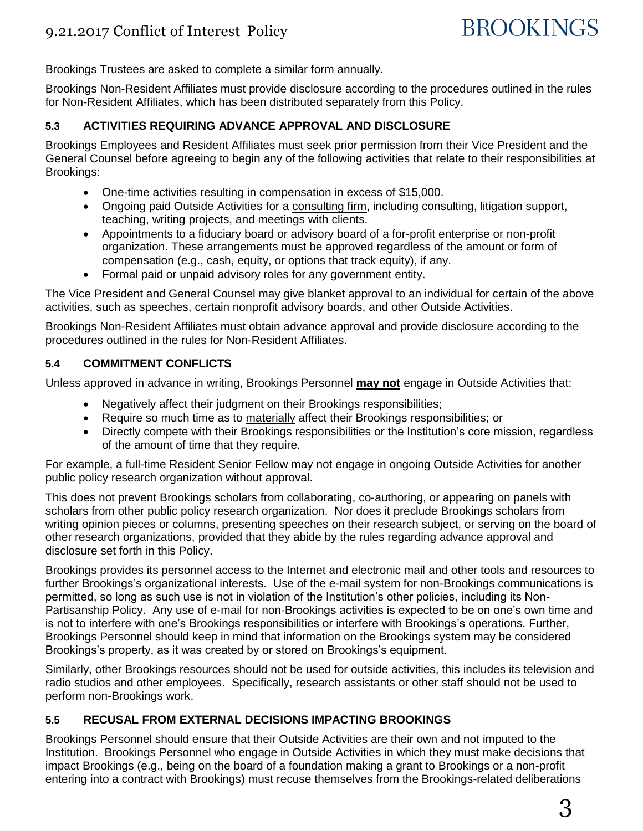Brookings Trustees are asked to complete a similar form annually.

Brookings Non-Resident Affiliates must provide disclosure according to the procedures outlined in the rules for Non-Resident Affiliates, which has been distributed separately from this Policy.

### **5.3 ACTIVITIES REQUIRING ADVANCE APPROVAL AND DISCLOSURE**

Brookings Employees and Resident Affiliates must seek prior permission from their Vice President and the General Counsel before agreeing to begin any of the following activities that relate to their responsibilities at Brookings:

- One-time activities resulting in compensation in excess of \$15,000.
- Ongoing paid Outside Activities for a consulting firm, including consulting, litigation support, teaching, writing projects, and meetings with clients.
- Appointments to a fiduciary board or advisory board of a for-profit enterprise or non-profit organization. These arrangements must be approved regardless of the amount or form of compensation (e.g., cash, equity, or options that track equity), if any.
- Formal paid or unpaid advisory roles for any government entity.

The Vice President and General Counsel may give blanket approval to an individual for certain of the above activities, such as speeches, certain nonprofit advisory boards, and other Outside Activities.

Brookings Non-Resident Affiliates must obtain advance approval and provide disclosure according to the procedures outlined in the rules for Non-Resident Affiliates.

### **5.4 COMMITMENT CONFLICTS**

Unless approved in advance in writing, Brookings Personnel **may not** engage in Outside Activities that:

- Negatively affect their judgment on their Brookings responsibilities;
- Require so much time as to materially affect their Brookings responsibilities; or
- Directly compete with their Brookings responsibilities or the Institution's core mission, regardless of the amount of time that they require.

For example, a full-time Resident Senior Fellow may not engage in ongoing Outside Activities for another public policy research organization without approval.

This does not prevent Brookings scholars from collaborating, co-authoring, or appearing on panels with scholars from other public policy research organization. Nor does it preclude Brookings scholars from writing opinion pieces or columns, presenting speeches on their research subject, or serving on the board of other research organizations, provided that they abide by the rules regarding advance approval and disclosure set forth in this Policy.

Brookings provides its personnel access to the Internet and electronic mail and other tools and resources to further Brookings's organizational interests. Use of the e-mail system for non-Brookings communications is permitted, so long as such use is not in violation of the Institution's other policies, including its Non-Partisanship Policy. Any use of e-mail for non-Brookings activities is expected to be on one's own time and is not to interfere with one's Brookings responsibilities or interfere with Brookings's operations. Further, Brookings Personnel should keep in mind that information on the Brookings system may be considered Brookings's property, as it was created by or stored on Brookings's equipment.

Similarly, other Brookings resources should not be used for outside activities, this includes its television and radio studios and other employees. Specifically, research assistants or other staff should not be used to perform non-Brookings work.

### **5.5 RECUSAL FROM EXTERNAL DECISIONS IMPACTING BROOKINGS**

Brookings Personnel should ensure that their Outside Activities are their own and not imputed to the Institution. Brookings Personnel who engage in Outside Activities in which they must make decisions that impact Brookings (e.g., being on the board of a foundation making a grant to Brookings or a non-profit entering into a contract with Brookings) must recuse themselves from the Brookings-related deliberations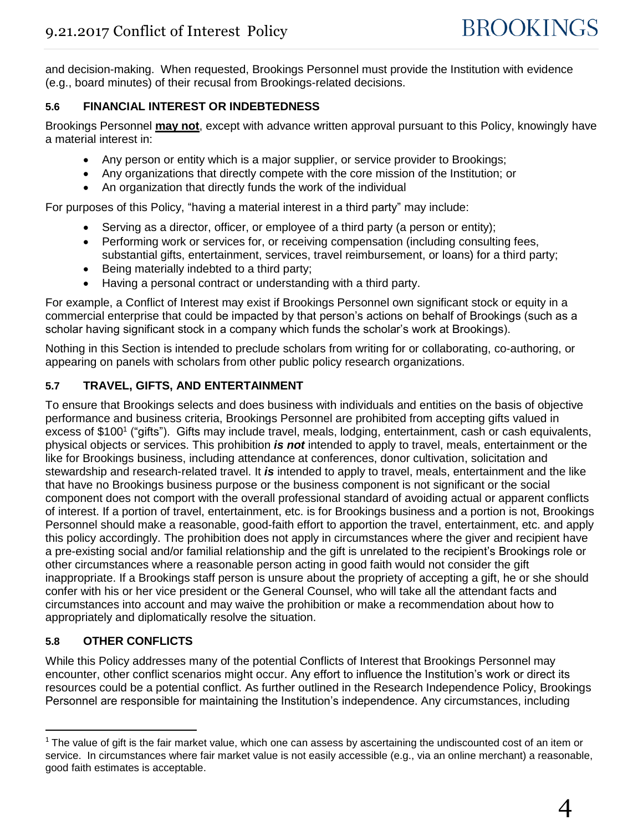and decision-making. When requested, Brookings Personnel must provide the Institution with evidence (e.g., board minutes) of their recusal from Brookings-related decisions.

# **5.6 FINANCIAL INTEREST OR INDEBTEDNESS**

Brookings Personnel **may not**, except with advance written approval pursuant to this Policy, knowingly have a material interest in:

- Any person or entity which is a major supplier, or service provider to Brookings;
- Any organizations that directly compete with the core mission of the Institution; or
- An organization that directly funds the work of the individual

For purposes of this Policy, "having a material interest in a third party" may include:

- Serving as a director, officer, or employee of a third party (a person or entity);
- Performing work or services for, or receiving compensation (including consulting fees, substantial gifts, entertainment, services, travel reimbursement, or loans) for a third party;
- Being materially indebted to a third party;
- Having a personal contract or understanding with a third party.

For example, a Conflict of Interest may exist if Brookings Personnel own significant stock or equity in a commercial enterprise that could be impacted by that person's actions on behalf of Brookings (such as a scholar having significant stock in a company which funds the scholar's work at Brookings).

Nothing in this Section is intended to preclude scholars from writing for or collaborating, co-authoring, or appearing on panels with scholars from other public policy research organizations.

# **5.7 TRAVEL, GIFTS, AND ENTERTAINMENT**

To ensure that Brookings selects and does business with individuals and entities on the basis of objective performance and business criteria, Brookings Personnel are prohibited from accepting gifts valued in excess of \$100<sup>1</sup> ("gifts"). Gifts may include travel, meals, lodging, entertainment, cash or cash equivalents, physical objects or services. This prohibition *is not* intended to apply to travel, meals, entertainment or the like for Brookings business, including attendance at conferences, donor cultivation, solicitation and stewardship and research-related travel. It *is* intended to apply to travel, meals, entertainment and the like that have no Brookings business purpose or the business component is not significant or the social component does not comport with the overall professional standard of avoiding actual or apparent conflicts of interest. If a portion of travel, entertainment, etc. is for Brookings business and a portion is not, Brookings Personnel should make a reasonable, good-faith effort to apportion the travel, entertainment, etc. and apply this policy accordingly. The prohibition does not apply in circumstances where the giver and recipient have a pre-existing social and/or familial relationship and the gift is unrelated to the recipient's Brookings role or other circumstances where a reasonable person acting in good faith would not consider the gift inappropriate. If a Brookings staff person is unsure about the propriety of accepting a gift, he or she should confer with his or her vice president or the General Counsel, who will take all the attendant facts and circumstances into account and may waive the prohibition or make a recommendation about how to appropriately and diplomatically resolve the situation.

# **5.8 OTHER CONFLICTS**

 $\overline{a}$ 

While this Policy addresses many of the potential Conflicts of Interest that Brookings Personnel may encounter, other conflict scenarios might occur. Any effort to influence the Institution's work or direct its resources could be a potential conflict. As further outlined in the Research Independence Policy, Brookings Personnel are responsible for maintaining the Institution's independence. Any circumstances, including

 $<sup>1</sup>$  The value of gift is the fair market value, which one can assess by ascertaining the undiscounted cost of an item or</sup> service. In circumstances where fair market value is not easily accessible (e.g., via an online merchant) a reasonable, good faith estimates is acceptable.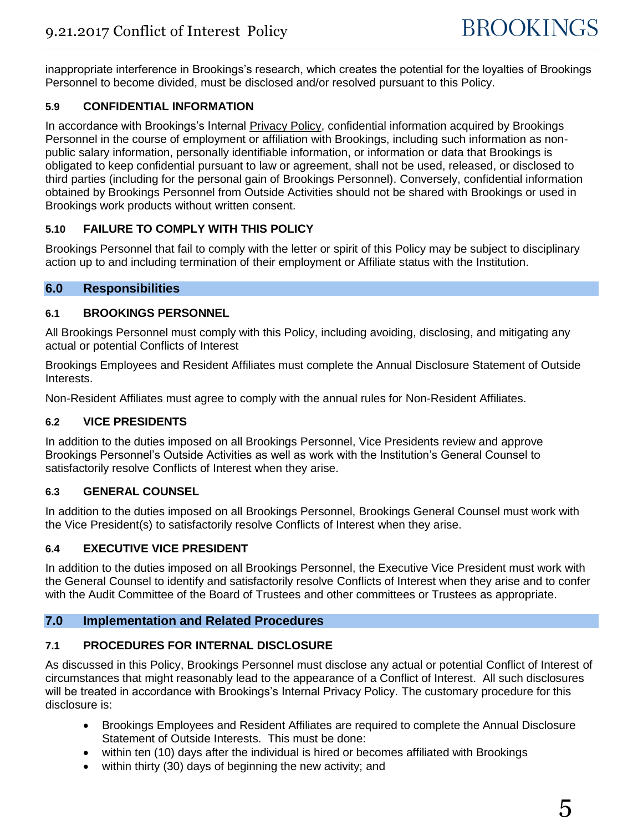inappropriate interference in Brookings's research, which creates the potential for the loyalties of Brookings Personnel to become divided, must be disclosed and/or resolved pursuant to this Policy.

# **5.9 CONFIDENTIAL INFORMATION**

In accordance with Brookings's Internal **Privacy Policy**, confidential information acquired by Brookings Personnel in the course of employment or affiliation with Brookings, including such information as nonpublic salary information, personally identifiable information, or information or data that Brookings is obligated to keep confidential pursuant to law or agreement, shall not be used, released, or disclosed to third parties (including for the personal gain of Brookings Personnel). Conversely, confidential information obtained by Brookings Personnel from Outside Activities should not be shared with Brookings or used in Brookings work products without written consent.

### **5.10 FAILURE TO COMPLY WITH THIS POLICY**

Brookings Personnel that fail to comply with the letter or spirit of this Policy may be subject to disciplinary action up to and including termination of their employment or Affiliate status with the Institution.

### **6.0 Responsibilities**

### **6.1 BROOKINGS PERSONNEL**

All Brookings Personnel must comply with this Policy, including avoiding, disclosing, and mitigating any actual or potential Conflicts of Interest

Brookings Employees and Resident Affiliates must complete the Annual Disclosure Statement of Outside Interests.

Non-Resident Affiliates must agree to comply with the annual rules for Non-Resident Affiliates.

### **6.2 VICE PRESIDENTS**

In addition to the duties imposed on all Brookings Personnel, Vice Presidents review and approve Brookings Personnel's Outside Activities as well as work with the Institution's General Counsel to satisfactorily resolve Conflicts of Interest when they arise.

### **6.3 GENERAL COUNSEL**

In addition to the duties imposed on all Brookings Personnel, Brookings General Counsel must work with the Vice President(s) to satisfactorily resolve Conflicts of Interest when they arise.

# **6.4 EXECUTIVE VICE PRESIDENT**

In addition to the duties imposed on all Brookings Personnel, the Executive Vice President must work with the General Counsel to identify and satisfactorily resolve Conflicts of Interest when they arise and to confer with the Audit Committee of the Board of Trustees and other committees or Trustees as appropriate.

### **7.0 Implementation and Related Procedures**

# **7.1 PROCEDURES FOR INTERNAL DISCLOSURE**

As discussed in this Policy, Brookings Personnel must disclose any actual or potential Conflict of Interest of circumstances that might reasonably lead to the appearance of a Conflict of Interest. All such disclosures will be treated in accordance with Brookings's Internal Privacy Policy. The customary procedure for this disclosure is:

- Brookings Employees and Resident Affiliates are required to complete the Annual Disclosure Statement of Outside Interests. This must be done:
- within ten (10) days after the individual is hired or becomes affiliated with Brookings
- within thirty (30) days of beginning the new activity; and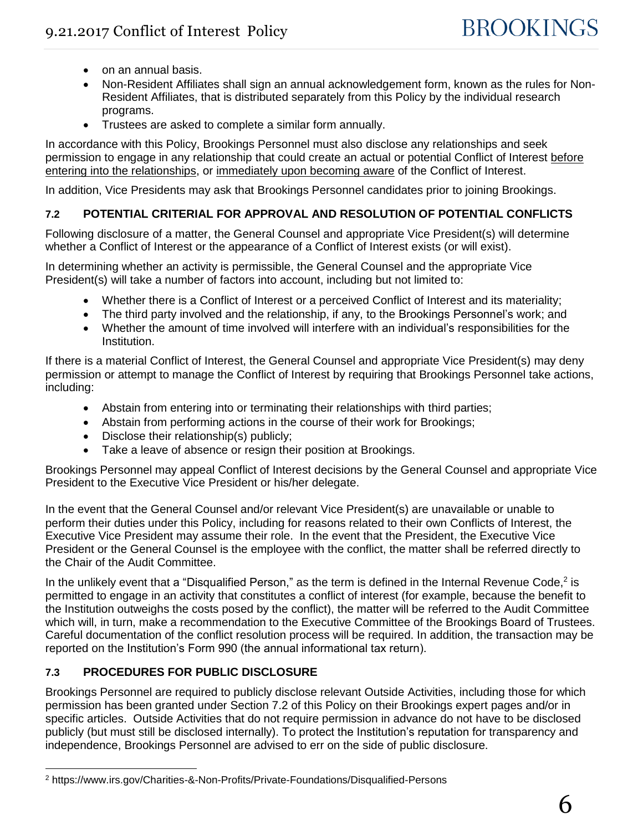- on an annual basis.
- Non-Resident Affiliates shall sign an annual acknowledgement form, known as the rules for Non-Resident Affiliates, that is distributed separately from this Policy by the individual research programs.
- Trustees are asked to complete a similar form annually.

In accordance with this Policy, Brookings Personnel must also disclose any relationships and seek permission to engage in any relationship that could create an actual or potential Conflict of Interest before entering into the relationships, or immediately upon becoming aware of the Conflict of Interest.

In addition, Vice Presidents may ask that Brookings Personnel candidates prior to joining Brookings.

# **7.2 POTENTIAL CRITERIAL FOR APPROVAL AND RESOLUTION OF POTENTIAL CONFLICTS**

Following disclosure of a matter, the General Counsel and appropriate Vice President(s) will determine whether a Conflict of Interest or the appearance of a Conflict of Interest exists (or will exist).

In determining whether an activity is permissible, the General Counsel and the appropriate Vice President(s) will take a number of factors into account, including but not limited to:

- Whether there is a Conflict of Interest or a perceived Conflict of Interest and its materiality;
- The third party involved and the relationship, if any, to the Brookings Personnel's work; and
- Whether the amount of time involved will interfere with an individual's responsibilities for the Institution.

If there is a material Conflict of Interest, the General Counsel and appropriate Vice President(s) may deny permission or attempt to manage the Conflict of Interest by requiring that Brookings Personnel take actions, including:

- Abstain from entering into or terminating their relationships with third parties;
- Abstain from performing actions in the course of their work for Brookings;
- Disclose their relationship(s) publicly;
- Take a leave of absence or resign their position at Brookings.

Brookings Personnel may appeal Conflict of Interest decisions by the General Counsel and appropriate Vice President to the Executive Vice President or his/her delegate.

In the event that the General Counsel and/or relevant Vice President(s) are unavailable or unable to perform their duties under this Policy, including for reasons related to their own Conflicts of Interest, the Executive Vice President may assume their role. In the event that the President, the Executive Vice President or the General Counsel is the employee with the conflict, the matter shall be referred directly to the Chair of the Audit Committee.

In the unlikely event that a "Disqualified Person," as the term is defined in the Internal Revenue Code,<sup>2</sup> is permitted to engage in an activity that constitutes a conflict of interest (for example, because the benefit to the Institution outweighs the costs posed by the conflict), the matter will be referred to the Audit Committee which will, in turn, make a recommendation to the Executive Committee of the Brookings Board of Trustees. Careful documentation of the conflict resolution process will be required. In addition, the transaction may be reported on the Institution's Form 990 (the annual informational tax return).

# **7.3 PROCEDURES FOR PUBLIC DISCLOSURE**

Brookings Personnel are required to publicly disclose relevant Outside Activities, including those for which permission has been granted under Section 7.2 of this Policy on their Brookings expert pages and/or in specific articles. Outside Activities that do not require permission in advance do not have to be disclosed publicly (but must still be disclosed internally). To protect the Institution's reputation for transparency and independence, Brookings Personnel are advised to err on the side of public disclosure.

<sup>2</sup> https://www.irs.gov/Charities-&-Non-Profits/Private-Foundations/Disqualified-Persons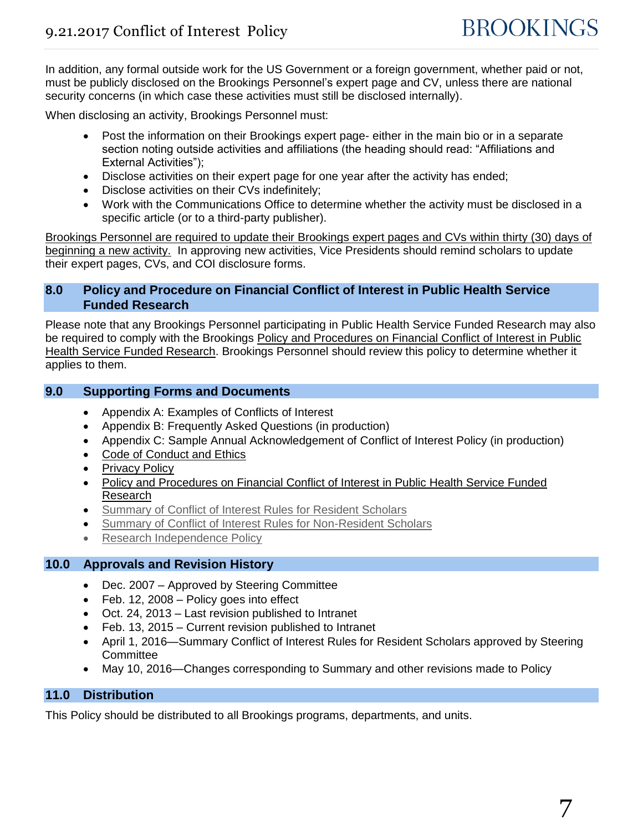In addition, any formal outside work for the US Government or a foreign government, whether paid or not, must be publicly disclosed on the Brookings Personnel's expert page and CV, unless there are national security concerns (in which case these activities must still be disclosed internally).

When disclosing an activity, Brookings Personnel must:

- Post the information on their Brookings expert page- either in the main bio or in a separate section noting outside activities and affiliations (the heading should read: "Affiliations and External Activities");
- Disclose activities on their expert page for one year after the activity has ended;
- Disclose activities on their CVs indefinitely;
- Work with the Communications Office to determine whether the activity must be disclosed in a specific article (or to a third-party publisher).

Brookings Personnel are required to update their Brookings expert pages and CVs within thirty (30) days of beginning a new activity. In approving new activities, Vice Presidents should remind scholars to update their expert pages, CVs, and COI disclosure forms.

# **8.0 Policy and Procedure on Financial Conflict of Interest in Public Health Service Funded Research**

Please note that any Brookings Personnel participating in Public Health Service Funded Research may also be required to comply with the Brookings Policy and Procedures on Financial Conflict of Interest in Public [Health Service Funded Research.](http://intranet.brookings.edu/admin/policies/FCOI_Policy.pdf) Brookings Personnel should review this policy to determine whether it applies to them.

### **9.0 Supporting Forms and Documents**

- [Appendix A:](#page-7-0) Examples of Conflicts of Interest
- Appendix B: Frequently Asked Questions (in production)
- Appendix C: Sample Annual Acknowledgement of Conflict of Interest Policy (in production)
- [Code of Conduct and Ethics](http://intranet.brookings.edu/admin/policies/codeofethics.htm)
- [Privacy Policy](http://intranet.brookings.edu/admin/policies/privacy_policies_mp.htm)
- [Policy and Procedures on Financial Conflict of Interest in Public Health Service Funded](http://intranet.brookings.edu/admin/policies/FCOI_Policy.pdf)  [Research](http://intranet.brookings.edu/admin/policies/FCOI_Policy.pdf)
- [Summary of Conflict of Interest Rules for Resident Scholars](http://intranet.brookings.edu/admin/policies/COI_Summary_Scholars.pdf)
- [Summary of Conflict of Interest Rules for Non-Resident Scholars](http://intranet.brookings.edu/admin/policies/COI_Summary_NRScholars.pdf)
- [Research Independence Policy](http://intranet.brookings.edu/Admin/policies/research_independence_policy.pdf)

# **10.0 Approvals and Revision History**

- Dec. 2007 Approved by Steering Committee
- Feb. 12, 2008 Policy goes into effect
- Oct. 24, 2013 Last revision published to Intranet
- Feb. 13, 2015 Current revision published to Intranet
- April 1, 2016—Summary Conflict of Interest Rules for Resident Scholars approved by Steering **Committee**
- May 10, 2016—Changes corresponding to Summary and other revisions made to Policy

# **11.0 Distribution**

This Policy should be distributed to all Brookings programs, departments, and units.